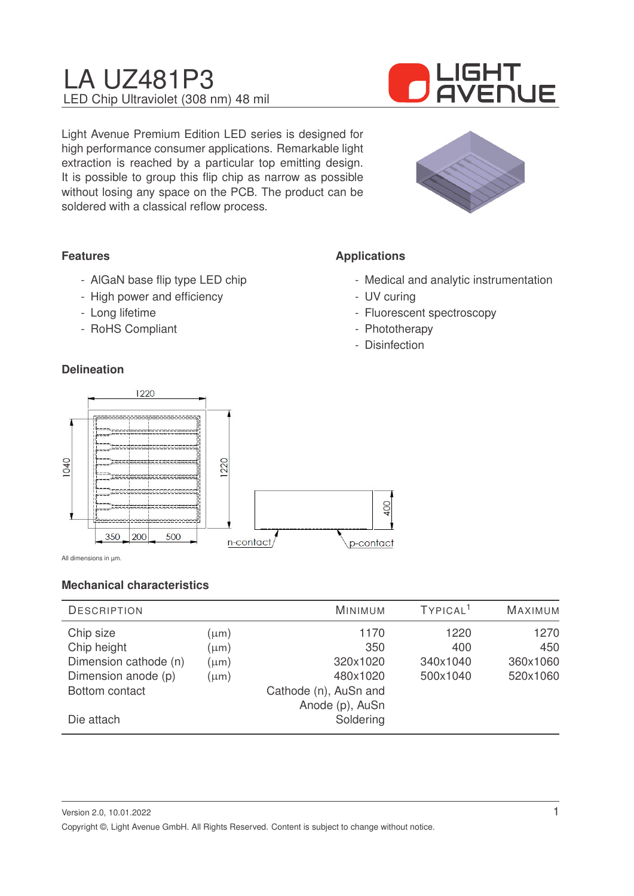

Light Avenue Premium Edition LED series is designed for high performance consumer applications. Remarkable light extraction is reached by a particular top emitting design. It is possible to group this flip chip as narrow as possible without losing any space on the PCB. The product can be soldered with a classical reflow process.



# **Features**

- AlGaN base flip type LED chip
- High power and efficiency
- Long lifetime
- RoHS Compliant

#### **Delineation**

# **Applications**

- Medical and analytic instrumentation
- UV curing
- Fluorescent spectroscopy
- Phototherapy
- Disinfection



All dimensions in µm.

### **Mechanical characteristics**

| <b>DESCRIPTION</b>    |           | MINIMUM               | TYPICAL <sup>1</sup> | <b>MAXIMUM</b> |
|-----------------------|-----------|-----------------------|----------------------|----------------|
| Chip size             | $(\mu m)$ | 1170                  | 1220                 | 1270           |
| Chip height           | $(\mu m)$ | 350                   | 400                  | 450            |
| Dimension cathode (n) | $(\mu m)$ | 320x1020              | 340x1040             | 360x1060       |
| Dimension anode (p)   | $(\mu m)$ | 480x1020              | 500x1040             | 520x1060       |
| Bottom contact        |           | Cathode (n), AuSn and |                      |                |
|                       |           | Anode (p), AuSn       |                      |                |
| Die attach            |           | Soldering             |                      |                |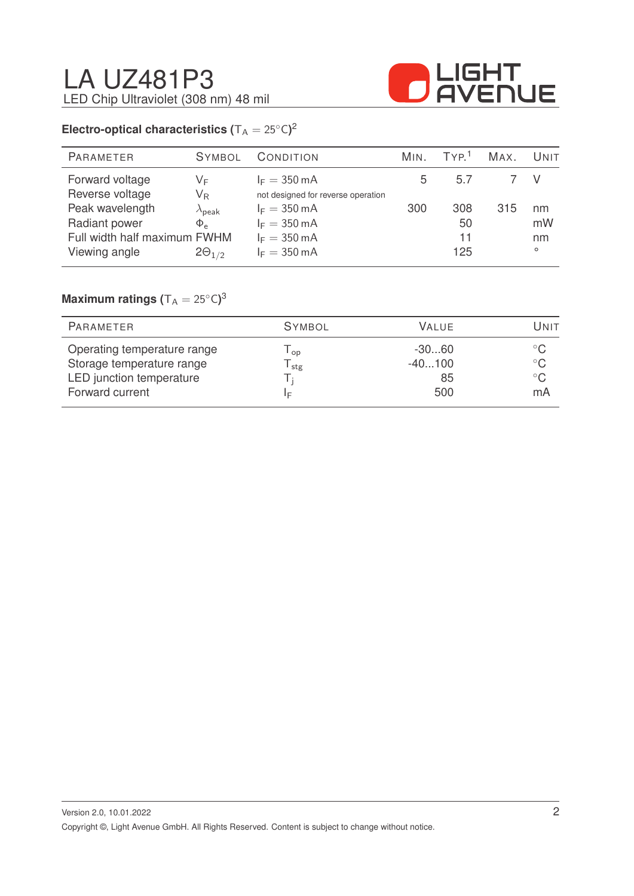

# **Electro-optical characteristics (** $T_A = 25^{\circ}C$ )<sup>2</sup>

| PARAMETER                    | <b>SYMBOL</b>           | CONDITION                          | MIN. | TVP <sup>1</sup> | MAX. | UNIT    |
|------------------------------|-------------------------|------------------------------------|------|------------------|------|---------|
| Forward voltage              | VF                      | $I_F = 350 \text{ mA}$             | 5    | 5.7              |      |         |
| Reverse voltage              | $\mathsf{V}_\mathsf{R}$ | not designed for reverse operation |      |                  |      |         |
| Peak wavelength              | $\lambda_{\rm peak}$    | $I_F = 350 \text{ mA}$             | 300  | 308              | 315  | nm      |
| Radiant power                | $\Phi_{\rho}$           | $I_F = 350 \text{ mA}$             |      | 50               |      | mW      |
| Full width half maximum FWHM |                         | $I_F = 350 \text{ mA}$             |      | 11               |      | nm      |
| Viewing angle                | $2\Theta_{1/2}$         | $I_F = 350 \text{ mA}$             |      | 125              |      | $\circ$ |
|                              |                         |                                    |      |                  |      |         |

### $\mathsf{Maximum}$  ratings  $(\mathsf{T_A} = 25^\circ\mathsf{C})^3$

| <b>PARAMETER</b>                                         | <b>SYMBOL</b>   | VALUE.              | Jnit                          |
|----------------------------------------------------------|-----------------|---------------------|-------------------------------|
| Operating temperature range<br>Storage temperature range | l <sub>op</sub> | $-3060$<br>$-40100$ | $^{\circ}$ C.<br>$^{\circ}$ C |
| LED junction temperature                                 | stg             | 85                  | $^{\circ}$ C                  |
| Forward current                                          | F               | 500                 | mA                            |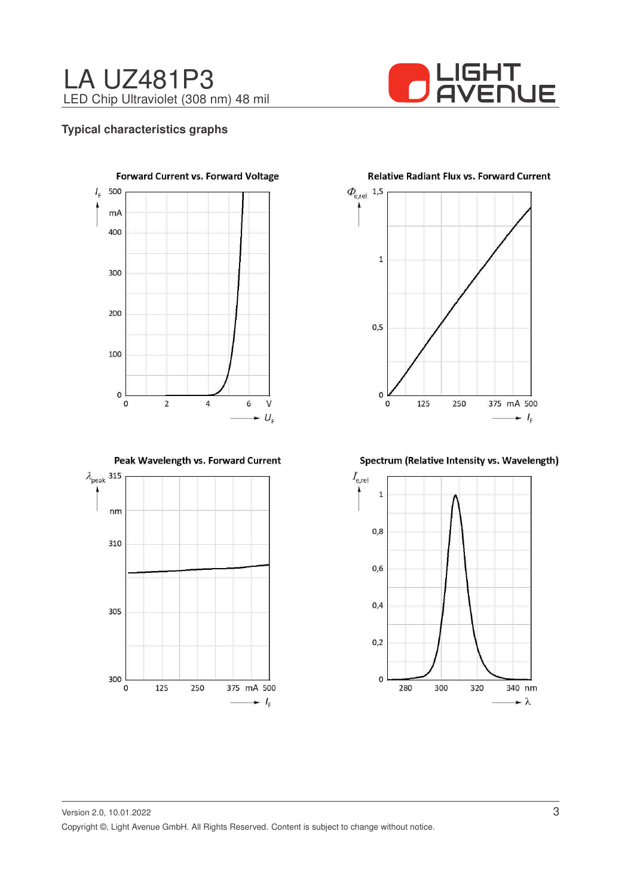

#### **Typical characteristics graphs**



Peak Wavelength vs. Forward Current



 $\Phi_{\rm e,rel}$  1,5  $\mathbf 1$  $0, 5$  $\mathsf{O}$  $\mathbf{o}$ 125 250 375 mA 500  $\blacksquare$   $l_{\rm F}$ 

#### **Relative Radiant Flux vs. Forward Current**

Spectrum (Relative Intensity vs. Wavelength)

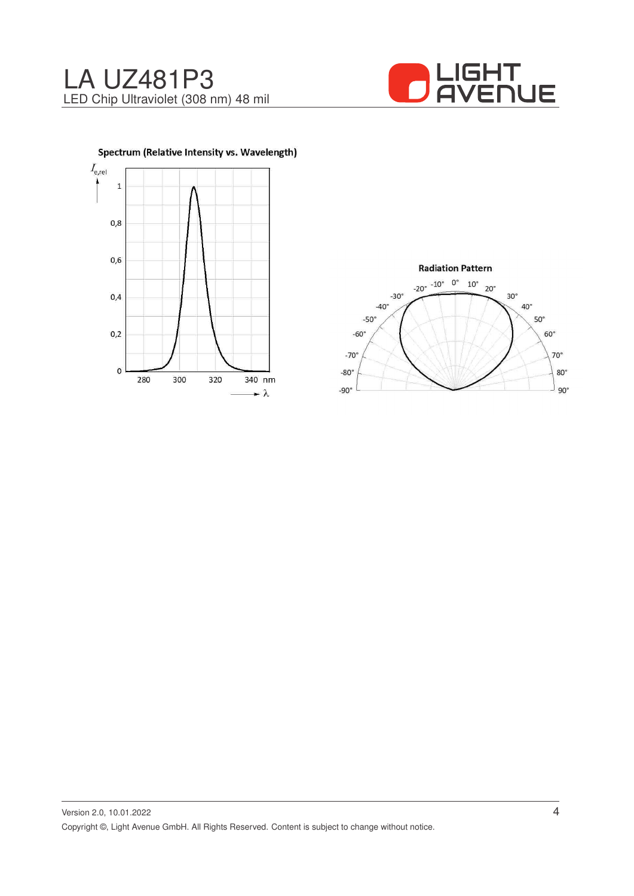







Version 2.0, 10.01.2022 Copyright ©, Light Avenue GmbH. All Rights Reserved. Content is subject to change without notice.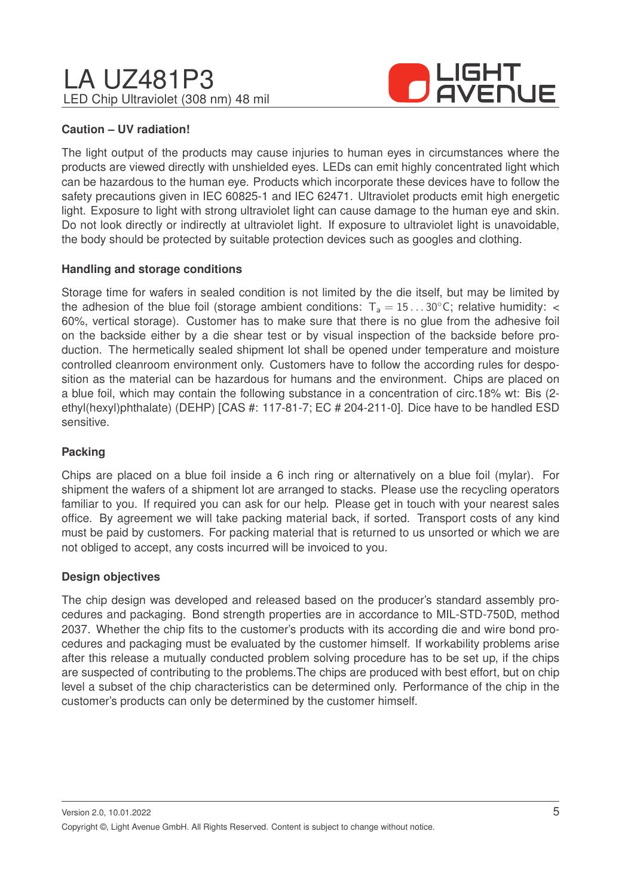

### **Caution – UV radiation!**

The light output of the products may cause injuries to human eyes in circumstances where the products are viewed directly with unshielded eyes. LEDs can emit highly concentrated light which can be hazardous to the human eye. Products which incorporate these devices have to follow the safety precautions given in IEC 60825-1 and IEC 62471. Ultraviolet products emit high energetic light. Exposure to light with strong ultraviolet light can cause damage to the human eye and skin. Do not look directly or indirectly at ultraviolet light. If exposure to ultraviolet light is unavoidable, the body should be protected by suitable protection devices such as googles and clothing.

#### **Handling and storage conditions**

Storage time for wafers in sealed condition is not limited by the die itself, but may be limited by the adhesion of the blue foil (storage ambient conditions:  $T_a = 15...30^{\circ}$ C; relative humidity: < 60%, vertical storage). Customer has to make sure that there is no glue from the adhesive foil on the backside either by a die shear test or by visual inspection of the backside before production. The hermetically sealed shipment lot shall be opened under temperature and moisture controlled cleanroom environment only. Customers have to follow the according rules for desposition as the material can be hazardous for humans and the environment. Chips are placed on a blue foil, which may contain the following substance in a concentration of circ.18% wt: Bis (2 ethyl(hexyl)phthalate) (DEHP) [CAS #: 117-81-7; EC # 204-211-0]. Dice have to be handled ESD sensitive.

### **Packing**

Chips are placed on a blue foil inside a 6 inch ring or alternatively on a blue foil (mylar). For shipment the wafers of a shipment lot are arranged to stacks. Please use the recycling operators familiar to you. If required you can ask for our help. Please get in touch with your nearest sales office. By agreement we will take packing material back, if sorted. Transport costs of any kind must be paid by customers. For packing material that is returned to us unsorted or which we are not obliged to accept, any costs incurred will be invoiced to you.

#### **Design objectives**

The chip design was developed and released based on the producer's standard assembly procedures and packaging. Bond strength properties are in accordance to MIL-STD-750D, method 2037. Whether the chip fits to the customer's products with its according die and wire bond procedures and packaging must be evaluated by the customer himself. If workability problems arise after this release a mutually conducted problem solving procedure has to be set up, if the chips are suspected of contributing to the problems.The chips are produced with best effort, but on chip level a subset of the chip characteristics can be determined only. Performance of the chip in the customer's products can only be determined by the customer himself.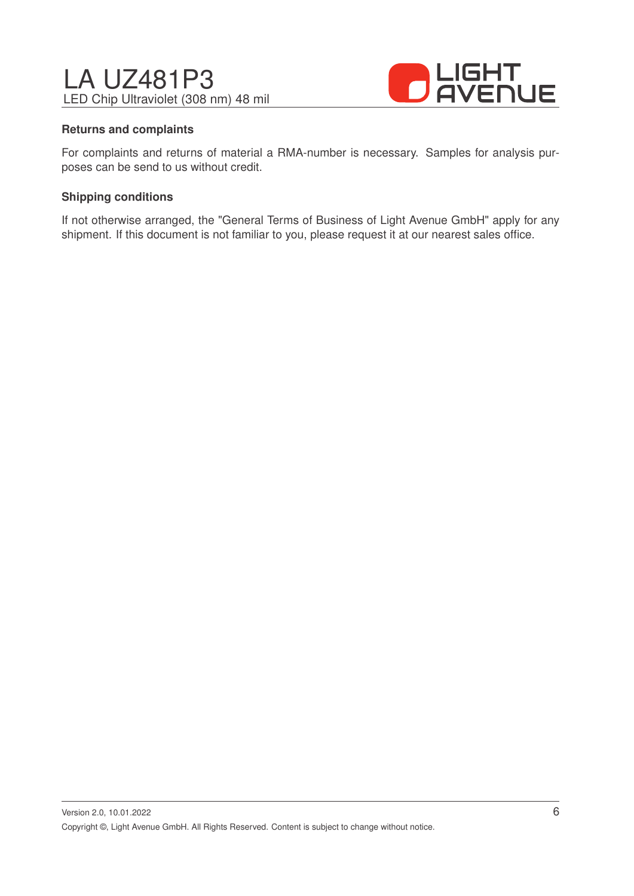

#### **Returns and complaints**

For complaints and returns of material a RMA-number is necessary. Samples for analysis purposes can be send to us without credit.

#### **Shipping conditions**

If not otherwise arranged, the "General Terms of Business of Light Avenue GmbH" apply for any shipment. If this document is not familiar to you, please request it at our nearest sales office.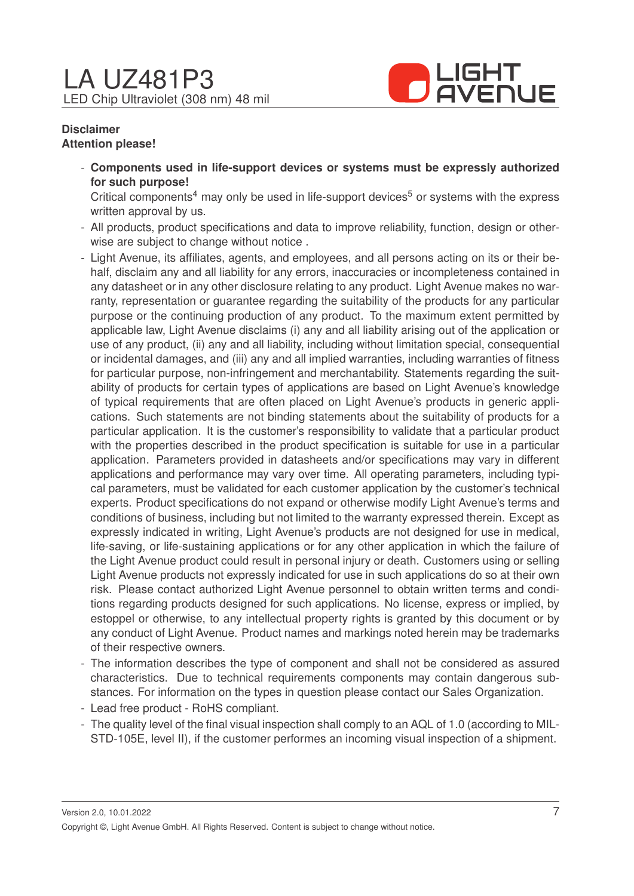

#### **Disclaimer Attention please!**

- **Components used in life-support devices or systems must be expressly authorized for such purpose!**

Critical components<sup>4</sup> may only be used in life-support devices<sup>5</sup> or systems with the express written approval by us.

- All products, product specifications and data to improve reliability, function, design or otherwise are subject to change without notice .
- Light Avenue, its affiliates, agents, and employees, and all persons acting on its or their behalf, disclaim any and all liability for any errors, inaccuracies or incompleteness contained in any datasheet or in any other disclosure relating to any product. Light Avenue makes no warranty, representation or guarantee regarding the suitability of the products for any particular purpose or the continuing production of any product. To the maximum extent permitted by applicable law, Light Avenue disclaims (i) any and all liability arising out of the application or use of any product, (ii) any and all liability, including without limitation special, consequential or incidental damages, and (iii) any and all implied warranties, including warranties of fitness for particular purpose, non-infringement and merchantability. Statements regarding the suitability of products for certain types of applications are based on Light Avenue's knowledge of typical requirements that are often placed on Light Avenue's products in generic applications. Such statements are not binding statements about the suitability of products for a particular application. It is the customer's responsibility to validate that a particular product with the properties described in the product specification is suitable for use in a particular application. Parameters provided in datasheets and/or specifications may vary in different applications and performance may vary over time. All operating parameters, including typical parameters, must be validated for each customer application by the customer's technical experts. Product specifications do not expand or otherwise modify Light Avenue's terms and conditions of business, including but not limited to the warranty expressed therein. Except as expressly indicated in writing, Light Avenue's products are not designed for use in medical, life-saving, or life-sustaining applications or for any other application in which the failure of the Light Avenue product could result in personal injury or death. Customers using or selling Light Avenue products not expressly indicated for use in such applications do so at their own risk. Please contact authorized Light Avenue personnel to obtain written terms and conditions regarding products designed for such applications. No license, express or implied, by estoppel or otherwise, to any intellectual property rights is granted by this document or by any conduct of Light Avenue. Product names and markings noted herein may be trademarks of their respective owners.
- The information describes the type of component and shall not be considered as assured characteristics. Due to technical requirements components may contain dangerous substances. For information on the types in question please contact our Sales Organization.
- Lead free product RoHS compliant.
- The quality level of the final visual inspection shall comply to an AQL of 1.0 (according to MIL-STD-105E, level II), if the customer performes an incoming visual inspection of a shipment.